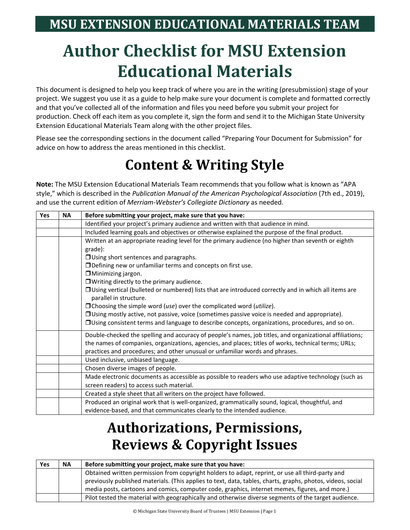# **Author Checklist for MSU Extension Educational Materials**

This document is designed to help you keep track of where you are in the writing (presubmission) stage of your project. We suggest you use it as a guide to help make sure your document is complete and formatted correctly and that you've collected all of the information and files you need before you submit your project for production. Check off each item as you complete it, sign the form and send it to the Michigan State University Extension Educational Materials Team along with the other project files.

Please see the corresponding sections in the document called "Preparing Your Document for Submission" for advice on how to address the areas mentioned in this checklist.

### **Content & Writing Style**

**Note:** The MSU Extension Educational Materials Team recommends that you follow what is known as "APA style," which is described in the *Publication Manual of the American Psychological Association* (7th ed., 2019), and use the current edition of *Merriam-Webster's Collegiate Dictionary* as needed.

| Yes | <b>NA</b> | Before submitting your project, make sure that you have:                                                                                                                             |
|-----|-----------|--------------------------------------------------------------------------------------------------------------------------------------------------------------------------------------|
|     |           | Identified your project's primary audience and written with that audience in mind.                                                                                                   |
|     |           | Included learning goals and objectives or otherwise explained the purpose of the final product.                                                                                      |
|     |           | Written at an appropriate reading level for the primary audience (no higher than seventh or eighth                                                                                   |
|     |           | grade):                                                                                                                                                                              |
|     |           | $\Box$ Using short sentences and paragraphs.                                                                                                                                         |
|     |           | □ Defining new or unfamiliar terms and concepts on first use.                                                                                                                        |
|     |           | $\Box$ Minimizing jargon.                                                                                                                                                            |
|     |           | $\Box$ Writing directly to the primary audience.                                                                                                                                     |
|     |           | □ Using vertical (bulleted or numbered) lists that are introduced correctly and in which all items are<br>parallel in structure.                                                     |
|     |           | $\Box$ Choosing the simple word (use) over the complicated word (utilize).                                                                                                           |
|     |           | OUsing mostly active, not passive, voice (sometimes passive voice is needed and appropriate).                                                                                        |
|     |           | OUsing consistent terms and language to describe concepts, organizations, procedures, and so on.                                                                                     |
|     |           | Double-checked the spelling and accuracy of people's names, job titles, and organizational affiliations;                                                                             |
|     |           | the names of companies, organizations, agencies, and places; titles of works, technical terms; URLs;<br>practices and procedures; and other unusual or unfamiliar words and phrases. |
|     |           | Used inclusive, unbiased language.                                                                                                                                                   |
|     |           | Chosen diverse images of people.                                                                                                                                                     |
|     |           | Made electronic documents as accessible as possible to readers who use adaptive technology (such as                                                                                  |
|     |           | screen readers) to access such material.                                                                                                                                             |
|     |           | Created a style sheet that all writers on the project have followed.                                                                                                                 |
|     |           | Produced an original work that is well-organized, grammatically sound, logical, thoughtful, and                                                                                      |
|     |           | evidence-based, and that communicates clearly to the intended audience.                                                                                                              |

### **Authorizations, Permissions, Reviews & Copyright Issues**

| Yes | <b>NA</b> | Before submitting your project, make sure that you have:                                                    |
|-----|-----------|-------------------------------------------------------------------------------------------------------------|
|     |           | Obtained written permission from copyright holders to adapt, reprint, or use all third-party and            |
|     |           | previously published materials. (This applies to text, data, tables, charts, graphs, photos, videos, social |
|     |           | media posts, cartoons and comics, computer code, graphics, internet memes, figures, and more.)              |
|     |           | Pilot tested the material with geographically and otherwise diverse segments of the target audience.        |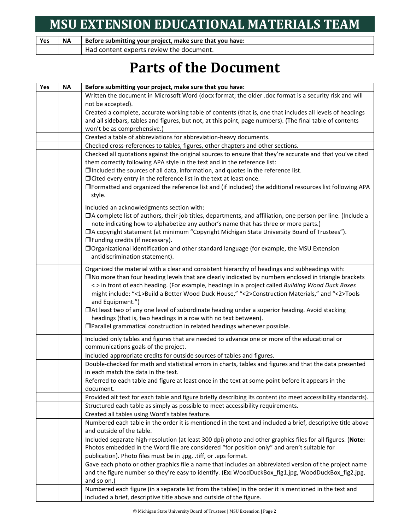| <b>Yes</b> | <b>NA</b> | Before submitting your project, make sure that you have: |
|------------|-----------|----------------------------------------------------------|
|            |           | Had content experts review the document.                 |

### **Parts of the Document**

| Before submitting your project, make sure that you have:                                                       |
|----------------------------------------------------------------------------------------------------------------|
| Written the document in Microsoft Word (docx format; the older .doc format is a security risk and will         |
| not be accepted).                                                                                              |
| Created a complete, accurate working table of contents (that is, one that includes all levels of headings      |
| and all sidebars, tables and figures, but not, at this point, page numbers). (The final table of contents      |
| won't be as comprehensive.)                                                                                    |
| Created a table of abbreviations for abbreviation-heavy documents.                                             |
| Checked cross-references to tables, figures, other chapters and other sections.                                |
| Checked all quotations against the original sources to ensure that they're accurate and that you've cited      |
| them correctly following APA style in the text and in the reference list:                                      |
| □Included the sources of all data, information, and quotes in the reference list.                              |
| $\Box$ Cited every entry in the reference list in the text at least once.                                      |
| □Formatted and organized the reference list and (if included) the additional resources list following APA      |
| style.                                                                                                         |
| Included an acknowledgments section with:                                                                      |
| □A complete list of authors, their job titles, departments, and affiliation, one person per line. (Include a   |
| note indicating how to alphabetize any author's name that has three or more parts.)                            |
| □A copyright statement (at minimum "Copyright Michigan State University Board of Trustees").                   |
| $\Box$ Funding credits (if necessary).                                                                         |
| □ Organizational identification and other standard language (for example, the MSU Extension                    |
| antidiscrimination statement).                                                                                 |
| Organized the material with a clear and consistent hierarchy of headings and subheadings with:                 |
| $\square$ No more than four heading levels that are clearly indicated by numbers enclosed in triangle brackets |
| <> in front of each heading. (For example, headings in a project called Building Wood Duck Boxes               |
| might include: "<1>Build a Better Wood Duck House," "<2>Construction Materials," and "<2>Tools                 |
| and Equipment.")                                                                                               |
| □At least two of any one level of subordinate heading under a superior heading. Avoid stacking                 |
| headings (that is, two headings in a row with no text between).                                                |
| □ Parallel grammatical construction in related headings whenever possible.                                     |
| Included only tables and figures that are needed to advance one or more of the educational or                  |
| communications goals of the project.                                                                           |
| Included appropriate credits for outside sources of tables and figures.                                        |
| Double-checked for math and statistical errors in charts, tables and figures and that the data presented       |
| in each match the data in the text.                                                                            |
| Referred to each table and figure at least once in the text at some point before it appears in the             |
| document.                                                                                                      |
| Provided alt text for each table and figure briefly describing its content (to meet accessibility standards).  |
| Structured each table as simply as possible to meet accessibility requirements.                                |
| Created all tables using Word's tables feature.                                                                |
| Numbered each table in the order it is mentioned in the text and included a brief, descriptive title above     |
| and outside of the table.                                                                                      |
| Included separate high-resolution (at least 300 dpi) photo and other graphics files for all figures. (Note:    |
| Photos embedded in the Word file are considered "for position only" and aren't suitable for                    |
| publication). Photo files must be in .jpg, .tiff, or .eps format.                                              |
| Gave each photo or other graphics file a name that includes an abbreviated version of the project name         |
| and the figure number so they're easy to identify. (Ex: WoodDuckBox_fig1.jpg, WoodDuckBox_fig2.jpg,            |
| and so on.)                                                                                                    |
| Numbered each figure (in a separate list from the tables) in the order it is mentioned in the text and         |
| included a brief, descriptive title above and outside of the figure.                                           |
|                                                                                                                |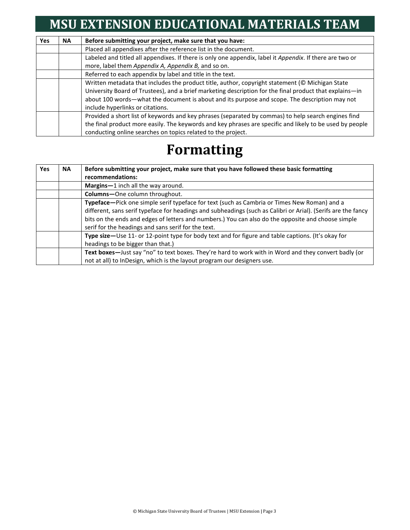#### **MSU EXTENSION EDUCATIONAL MATERIALS TEAM**

| <b>Yes</b> | <b>NA</b> | Before submitting your project, make sure that you have:                                                 |
|------------|-----------|----------------------------------------------------------------------------------------------------------|
|            |           | Placed all appendixes after the reference list in the document.                                          |
|            |           | Labeled and titled all appendixes. If there is only one appendix, label it Appendix. If there are two or |
|            |           | more, label them Appendix A, Appendix B, and so on.                                                      |
|            |           | Referred to each appendix by label and title in the text.                                                |
|            |           | Written metadata that includes the product title, author, copyright statement (© Michigan State          |
|            |           | University Board of Trustees), and a brief marketing description for the final product that explains-in  |
|            |           | about 100 words—what the document is about and its purpose and scope. The description may not            |
|            |           | include hyperlinks or citations.                                                                         |
|            |           | Provided a short list of keywords and key phrases (separated by commas) to help search engines find      |
|            |           | the final product more easily. The keywords and key phrases are specific and likely to be used by people |
|            |           | conducting online searches on topics related to the project.                                             |

#### **Formatting**

| <b>Yes</b> | <b>NA</b> | Before submitting your project, make sure that you have followed these basic formatting<br>recommendations:                                                                                                                                                                                                                                                               |
|------------|-----------|---------------------------------------------------------------------------------------------------------------------------------------------------------------------------------------------------------------------------------------------------------------------------------------------------------------------------------------------------------------------------|
|            |           | Margins-1 inch all the way around.                                                                                                                                                                                                                                                                                                                                        |
|            |           | Columns-One column throughout.                                                                                                                                                                                                                                                                                                                                            |
|            |           | Typeface—Pick one simple serif typeface for text (such as Cambria or Times New Roman) and a<br>different, sans serif typeface for headings and subheadings (such as Calibri or Arial). (Serifs are the fancy<br>bits on the ends and edges of letters and numbers.) You can also do the opposite and choose simple<br>serif for the headings and sans serif for the text. |
|            |           | Type size—Use 11- or 12-point type for body text and for figure and table captions. (It's okay for<br>headings to be bigger than that.)                                                                                                                                                                                                                                   |
|            |           | Text boxes-Just say "no" to text boxes. They're hard to work with in Word and they convert badly (or<br>not at all) to InDesign, which is the layout program our designers use.                                                                                                                                                                                           |